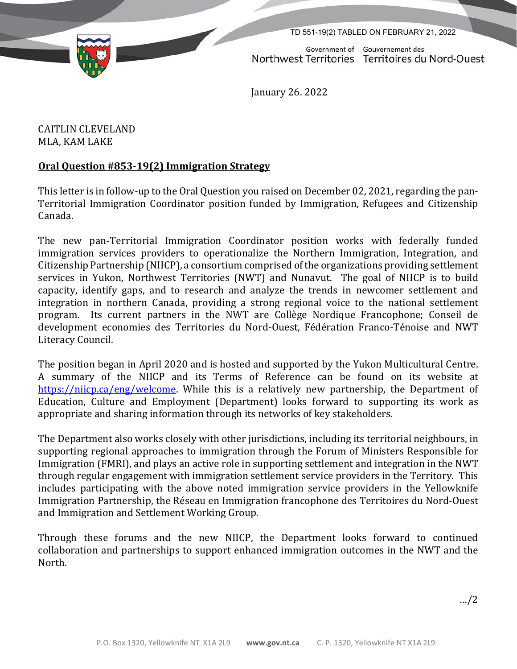TD 551-19(2) TABLED ON FEBRUARY 21, 2022

Government of Gouvernement des Northwest Territories Territoires du Nord-Ouest

January 26. 2022

CAITLIN CLEVELAND MLA, KAM LAKE

## **Oral Question #853‐19(2) Immigration Strategy**

This letter is in follow-up to the Oral Question you raised on December 02, 2021, regarding the pan-Territorial Immigration Coordinator position funded by Immigration, Refugees and Citizenship Canada.

The new pan-Territorial Immigration Coordinator position works with federally funded immigration services providers to operationalize the Northern Immigration, Integration, and Citizenship Partnership (NIICP), a consortium comprised of the organizations providing settlement services in Yukon, Northwest Territories (NWT) and Nunavut. The goal of NIICP is to build capacity, identify gaps, and to research and analyze the trends in newcomer settlement and integration in northern Canada, providing a strong regional voice to the national settlement program. Its current partners in the NWT are Collège Nordique Francophone; Conseil de development economies des Territories du Nord-Ouest, Fédération Franco-Ténoise and NWT Literacy Council.

The position began in April 2020 and is hosted and supported by the Yukon Multicultural Centre. A summary of the NIICP and its Terms of Reference can be found on its website at [https://niicp.ca/eng/welcome.](https://niicp.ca/eng/welcome) While this is a relatively new partnership, the Department of Education, Culture and Employment (Department) looks forward to supporting its work as appropriate and sharing information through its networks of key stakeholders.

The Department also works closely with other jurisdictions, including its territorial neighbours, in supporting regional approaches to immigration through the Forum of Ministers Responsible for Immigration (FMRI), and plays an active role in supporting settlement and integration in the NWT through regular engagement with immigration settlement service providers in the Territory. This includes participating with the above noted immigration service providers in the Yellowknife Immigration Partnership, the Réseau en Immigration francophone des Territoires du Nord-Ouest and Immigration and Settlement Working Group.

Through these forums and the new NIICP, the Department looks forward to continued collaboration and partnerships to support enhanced immigration outcomes in the NWT and the North.

…/2